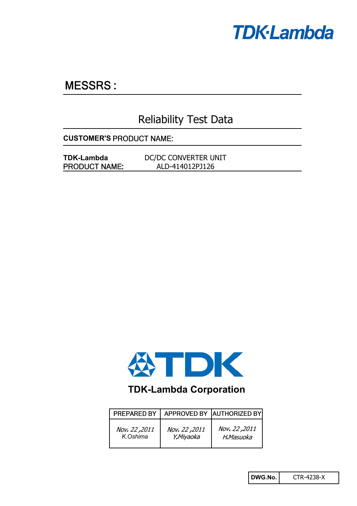

# **MESSRS:**

# Reliability Test Data

**CUSTOMER'S**

**TDK-Lambda** DC/DC CONVERTER UNIT ALD-414012PJ126 PRODUCT NAME:



# **TDK-Lambda Corporation**

| <b>PREPARED BY</b> |               | APPROVED BY AUTHORIZED BY |
|--------------------|---------------|---------------------------|
| Nov. 22, 2011      | Nov. 22, 2011 | Nov. 22, 2011             |
| K.Oshima           | Y.Miyaoka     | H.Masuoka                 |

**DWG.No.** CTR-4238-X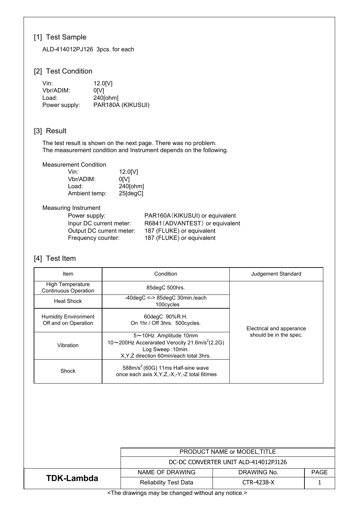# [1] Test Sample

ALD-414012PJ126 3pcs. for each

## [2] Test Condition

| Vin:          | 12.0[V]           |
|---------------|-------------------|
| Vbr/ADIM:     | 0IV1              |
| Load:         | $240$ [ohm]       |
| Power supply: | PAR180A (KIKUSUI) |

## [3] Result

The test result is shown on the next page. There was no problem. The measurement condition and Instrument depends on the following.

Measurement Condition

| Vin:          | 12.0[V]  |
|---------------|----------|
| Vbr/ADIM:     | 0IV1     |
| Load:         | 240[ohm] |
| Ambient temp: | 25[degC] |

#### Measuring Instrument

| Power supply:            |
|--------------------------|
| Inpur DC current meter:  |
| Output DC current meter: |
| Frequency counter:       |

PAR160A (KIKUSUI) or equivalent R6841(ADVANTEST) or equivalent 187 (FLUKE) or equivalent 187 (FLUKE) or equivalent

## [4] Test Item

| Item                                                   | Condition                                                                                                                                           | Judgement Standard       |
|--------------------------------------------------------|-----------------------------------------------------------------------------------------------------------------------------------------------------|--------------------------|
| <b>High Temperature</b><br><b>Continuous Operation</b> | 85degC 500hrs.                                                                                                                                      |                          |
| <b>Heat Shock</b>                                      | $-40degC \leq 85degC$ 30min./each<br>100cycles                                                                                                      |                          |
| <b>Humidity Environment</b><br>Off and on Operation    | 60degC 90%R.H.<br>On 1hr / Off 3hrs. 500cycles.                                                                                                     | Electrical and apperance |
| Vibration                                              | 5~10Hz Amplitude 10mm<br>10~200Hz Accerarated Verocity 21.6m/s <sup>2</sup> (2.2G)<br>Log Sweep: 10min.<br>X, Y, Z direction 60min/each total 3hrs. | should be in the spec.   |
| Shock                                                  | 588m/s <sup>2</sup> (60G) 11ms Half-sine wave<br>once each axis X, Y, Z, -X, -Y, -Z total 6times                                                    |                          |

|            | PRODUCT NAME or MODEL, TITLE         |             |             |  |  |  |  |
|------------|--------------------------------------|-------------|-------------|--|--|--|--|
|            | DC-DC CONVERTER UNIT ALD-414012PJ126 |             |             |  |  |  |  |
|            | NAME OF DRAWING                      | DRAWING No. | <b>PAGE</b> |  |  |  |  |
| TDK-Lambda | <b>Reliability Test Data</b>         | CTR-4238-X  |             |  |  |  |  |

<The drawings may be changed without any notice.>